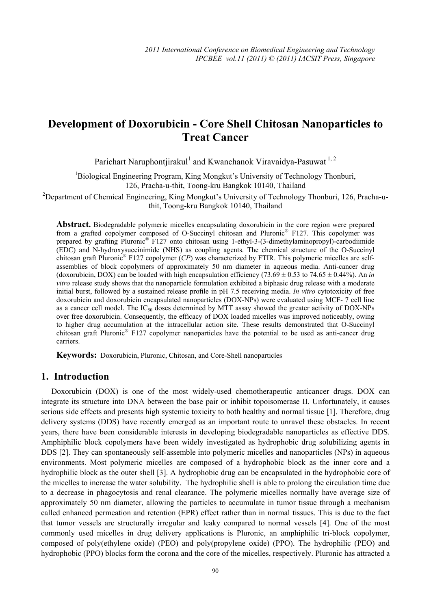# **Development of Doxorubicin - Core Shell Chitosan Nanoparticles to Treat Cancer**

Parichart Naruphontjirakul<sup>1</sup> and Kwanchanok Viravaidya-Pasuwat<sup>1,2</sup>

<sup>1</sup>Biological Engineering Program, King Mongkut's University of Technology Thonburi, 126, Pracha-u-thit, Toong-kru Bangkok 10140, Thailand

<sup>2</sup>Department of Chemical Engineering, King Mongkut's University of Technology Thonburi, 126, Pracha-uthit, Toong-kru Bangkok 10140, Thailand

**Abstract.** Biodegradable polymeric micelles encapsulating doxorubicin in the core region were prepared from a grafted copolymer composed of O-Succinyl chitosan and Pluronic® F127. This copolymer was prepared by grafting Pluronic® F127 onto chitosan using 1-ethyl-3-(3-dimethylaminopropyl)-carbodiimide (EDC) and N-hydroxysuccinimide (NHS) as coupling agents. The chemical structure of the O-Succinyl chitosan graft Pluronic® F127 copolymer (*CP*) was characterized by FTIR. This polymeric micelles are selfassemblies of block copolymers of approximately 50 nm diameter in aqueous media. Anti-cancer drug (doxorubicin, DOX) can be loaded with high encapsulation efficiency  $(73.69 \pm 0.53$  to  $74.65 \pm 0.44\%)$ . An *in vitro* release study shows that the nanoparticle formulation exhibited a biphasic drug release with a moderate initial burst, followed by a sustained release profile in pH 7.5 receiving media. *In vitro* cytotoxicity of free doxorubicin and doxorubicin encapsulated nanoparticles (DOX-NPs) were evaluated using MCF- 7 cell line as a cancer cell model. The  $IC_{50}$  doses determined by MTT assay showed the greater activity of DOX-NPs over free doxorubicin. Consequently, the efficacy of DOX loaded micelles was improved noticeably, owing to higher drug accumulation at the intracellular action site. These results demonstrated that O-Succinyl chitosan graft Pluronic® F127 copolymer nanoparticles have the potential to be used as anti-cancer drug carriers.

**Keywords:** Doxorubicin, Pluronic, Chitosan, and Core-Shell nanoparticles

# **1. Introduction**

Doxorubicin (DOX) is one of the most widely-used chemotherapeutic anticancer drugs. DOX can integrate its structure into DNA between the base pair or inhibit topoisomerase II. Unfortunately, it causes serious side effects and presents high systemic toxicity to both healthy and normal tissue [1]. Therefore, drug delivery systems (DDS) have recently emerged as an important route to unravel these obstacles. In recent years, there have been considerable interests in developing biodegradable nanoparticles as effective DDS. Amphiphilic block copolymers have been widely investigated as hydrophobic drug solubilizing agents in DDS [2]. They can spontaneously self-assemble into polymeric micelles and nanoparticles (NPs) in aqueous environments. Most polymeric micelles are composed of a hydrophobic block as the inner core and a hydrophilic block as the outer shell [3]. A hydrophobic drug can be encapsulated in the hydrophobic core of the micelles to increase the water solubility. The hydrophilic shell is able to prolong the circulation time due to a decrease in phagocytosis and renal clearance. The polymeric micelles normally have average size of approximately 50 nm diameter, allowing the particles to accumulate in tumor tissue through a mechanism called enhanced permeation and retention (EPR) effect rather than in normal tissues. This is due to the fact that tumor vessels are structurally irregular and leaky compared to normal vessels [4]. One of the most commonly used micelles in drug delivery applications is Pluronic, an amphiphilic tri-block copolymer, composed of poly(ethylene oxide) (PEO) and poly(propylene oxide) (PPO). The hydrophilic (PEO) and hydrophobic (PPO) blocks form the corona and the core of the micelles, respectively. Pluronic has attracted a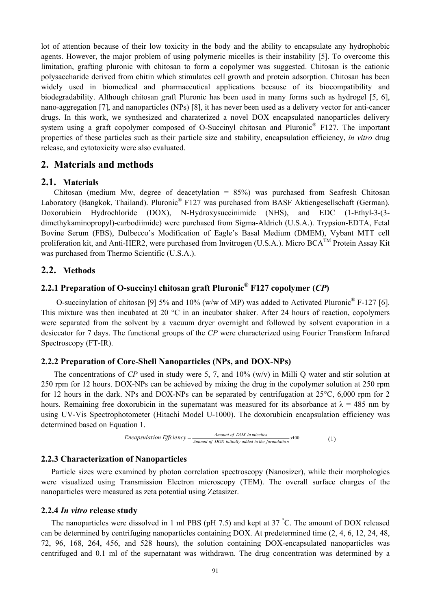lot of attention because of their low toxicity in the body and the ability to encapsulate any hydrophobic agents. However, the major problem of using polymeric micelles is their instability [5]. To overcome this limitation, grafting pluronic with chitosan to form a copolymer was suggested. Chitosan is the cationic polysaccharide derived from chitin which stimulates cell growth and protein adsorption. Chitosan has been widely used in biomedical and pharmaceutical applications because of its biocompatibility and biodegradability. Although chitosan graft Pluronic has been used in many forms such as hydrogel [5, 6], nano-aggregation [7], and nanoparticles (NPs) [8], it has never been used as a delivery vector for anti-cancer drugs. In this work, we synthesized and charaterized a novel DOX encapsulated nanoparticles delivery system using a graft copolymer composed of O-Succinyl chitosan and Pluronic<sup>®</sup> F127. The important properties of these particles such as their particle size and stability, encapsulation efficiency, *in vitro* drug release, and cytotoxicity were also evaluated.

# **2. Materials and methods**

### **2.1. Materials**

Chitosan (medium Mw, degree of deacetylation = 85%) was purchased from Seafresh Chitosan Laboratory (Bangkok, Thailand). Pluronic<sup>®</sup> F127 was purchased from BASF Aktiengesellschaft (German). Doxorubicin Hydrochloride (DOX), N-Hydroxysuccinimide (NHS), and EDC (1-Ethyl-3-(3 dimethykaminopropyl)-carbodiimide) were purchased from Sigma-Aldrich (U.S.A.). Trypsion-EDTA, Fetal Bovine Serum (FBS), Dulbecco's Modification of Eagle's Basal Medium (DMEM), Vybant MTT cell proliferation kit, and Anti-HER2, were purchased from Invitrogen (U.S.A.). Micro  $BCA^{TM}$  Protein Assay Kit was purchased from Thermo Scientific (U.S.A.).

# **2.2. Methods**

# **2.2.1 Preparation of O-succinyl chitosan graft Pluronic® F127 copolymer (***CP***)**

O-succinylation of chitosan [9] 5% and 10% (w/w of MP) was added to Activated Pluronic® F-127 [6]. This mixture was then incubated at 20 °C in an incubator shaker. After 24 hours of reaction, copolymers were separated from the solvent by a vacuum dryer overnight and followed by solvent evaporation in a desiccator for 7 days. The functional groups of the *CP* were characterized using Fourier Transform Infrared Spectroscopy (FT-IR).

### **2.2.2 Preparation of Core-Shell Nanoparticles (NPs, and DOX-NPs)**

The concentrations of *CP* used in study were 5, 7, and 10% (w/v) in Milli Q water and stir solution at 250 rpm for 12 hours. DOX-NPs can be achieved by mixing the drug in the copolymer solution at 250 rpm for 12 hours in the dark. NPs and DOX-NPs can be separated by centrifugation at 25°C, 6,000 rpm for 2 hours. Remaining free doxorubicin in the supernatant was measured for its absorbance at  $\lambda = 485$  nm by using UV-Vis Spectrophotometer (Hitachi Model U-1000). The doxorubicin encapsulation efficiency was determined based on Equation 1.

*Encapsulation Efficiency* = 
$$
\frac{Amount of DOX in micelles}{Amount of DOX initially added to the formulation}
$$
 x100 (1)

### **2.2.3 Characterization of Nanoparticles**

Particle sizes were examined by photon correlation spectroscopy (Nanosizer), while their morphologies were visualized using Transmission Electron microscopy (TEM). The overall surface charges of the nanoparticles were measured as zeta potential using Zetasizer.

### **2.2.4** *In vitro* **release study**

The nanoparticles were dissolved in 1 ml PBS (pH 7.5) and kept at 37 °C. The amount of DOX released can be determined by centrifuging nanoparticles containing DOX. At predetermined time (2, 4, 6, 12, 24, 48, 72, 96, 168, 264, 456, and 528 hours), the solution containing DOX-encapsulated nanoparticles was centrifuged and 0.1 ml of the supernatant was withdrawn. The drug concentration was determined by a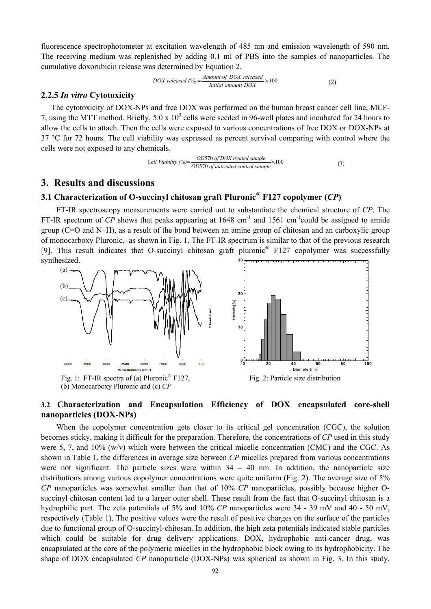fluorescence spectrophotometer at excitation wavelength of 485 nm and emission wavelength of 590 nm. The receiving medium was replenished by adding 0.1 ml of PBS into the samples of nanoparticles. The cumulative doxorubicin release was determined by Equation 2.

$$
DOX \ released \ (%) = \frac{Amount \ of \ DOX \ released}{Initial \ amount \ DOX} \times 100 \tag{2}
$$

#### **2.2.5** *In vitro* **Cytotoxicity**

The cytotoxicity of DOX-NPs and free DOX was performed on the human breast cancer cell line, MCF-7, using the MTT method. Briefly,  $5.0 \times 10^3$  cells were seeded in 96-well plates and incubated for 24 hours to allow the cells to attach. Then the cells were exposed to various concentrations of free DOX or DOX-NPs at 37 °C for 72 hours. The cell viability was expressed as percent survival comparing with control where the cells were not exposed to any chemicals.

Cell Viability (
$$
\frac{\%}{\%}
$$
) =  $\frac{OD570 \text{ of } DOX \text{ treated sample}}{OD570 \text{ of untreated control sample}} \times 100$  (3)

### **3. Results and discussions**

# **3.1 Characterization of O-succinyl chitosan graft Pluronic® F127 copolymer (***CP***)**

FT-IR spectroscopy measurements were carried out to substantiate the chemical structure of *CP*. The FT-IR spectrum of *CP* shows that peaks appearing at  $1648 \text{ cm}^{-1}$  and  $1561 \text{ cm}^{-1}$ could be assigned to amide group (C=O and N–H), as a result of the bond between an amine group of chitosan and an carboxylic group of monocarboxy Pluronic, as shown in Fig. 1. The FT-IR spectrum is similar to that of the previous research [9]. This result indicates that O-succinyl chitosan graft pluronic® F127 copolymer was successfully synthesized. **30**



(b) Monocarboxy Pluronic and (c) *CP*



# **3.2 Characterization and Encapsulation Efficiency of DOX encapsulated core-shell nanoparticles (DOX-NPs)**

When the copolymer concentration gets closer to its critical gel concentration (CGC), the solution becomes sticky, making it difficult for the preparation. Therefore, the concentrations of *CP* used in this study were 5, 7, and 10% (w/v) which were between the critical micelle concentration (CMC) and the CGC. As shown in Table 1, the differences in average size between *CP* micelles prepared from various concentrations were not significant. The particle sizes were within  $34 - 40$  nm. In addition, the nanoparticle size distributions among various copolymer concentrations were quite uniform (Fig. 2). The average size of 5% *CP* nanoparticles was somewhat smaller than that of 10% *CP* nanoparticles, possibly because higher Osuccinyl chitosan content led to a larger outer shell. These result from the fact that O-succinyl chitosan is a hydrophilic part. The zeta potentials of 5% and 10% *CP* nanoparticles were 34 - 39 mV and 40 - 50 mV, respectively (Table 1). The positive values were the result of positive charges on the surface of the particles due to functional group of O-succinyl-chitosan. In addition, the high zeta potentials indicated stable particles which could be suitable for drug delivery applications. DOX, hydrophobic anti-cancer drug, was encapsulated at the core of the polymeric micelles in the hydrophobic block owing to its hydrophobicity. The shape of DOX encapsulated *CP* nanoparticle (DOX-NPs) was spherical as shown in Fig. 3. In this study,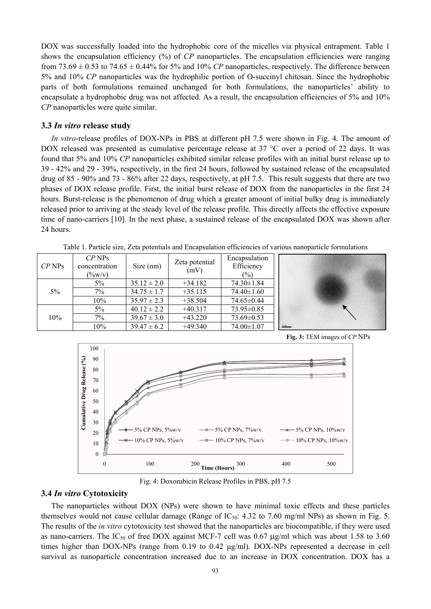DOX was successfully loaded into the hydrophobic core of the micelles via physical entrapment. Table 1 shows the encapsulation efficiency (%) of *CP* nanoparticles. The encapsulation efficiencies were ranging from 73.69  $\pm$  0.53 to 74.65  $\pm$  0.44% for 5% and 10% *CP* nanoparticles, respectively. The difference between 5% and 10% *CP* nanoparticles was the hydrophilic portion of O-succinyl chitosan. Since the hydrophobic parts of both formulations remained unchanged for both formulations, the nanoparticles' ability to encapsulate a hydrophobic drug was not affected. As a result, the encapsulation efficiencies of 5% and 10% *CP* nanoparticles were quite similar.

#### **3.3** *In vitro* **release study**

*In vitro*-release profiles of DOX-NPs in PBS at different pH 7.5 were shown in Fig. 4. The amount of DOX released was presented as cumulative percentage release at 37 °C over a period of 22 days. It was found that 5% and 10% *CP* nanoparticles exhibited similar release profiles with an initial burst release up to 39 - 42% and 29 - 39%, respectively, in the first 24 hours, followed by sustained release of the encapsulated drug of 85 - 90% and 73 - 86% after 22 days, respectively, at pH 7.5. This result suggests that there are two phases of DOX release profile. First, the initial burst release of DOX from the nanoparticles in the first 24 hours. Burst-release is the phenomenon of drug which a greater amount of initial bulky drug is immediately released prior to arriving at the steady level of the release profile. This directly affects the effective exposure time of nano-carriers [10]. In the next phase, a sustained release of the encapsulated DOX was shown after 24 hours.

| $CP$ NPs | $CP$ NPs<br>concentration<br>$(\frac{9}{6}W/V)$ | Size (nm)       | Zeta potential<br>(mV) | Encapsulation<br>Efficiency<br>$(\%)$ |  |
|----------|-------------------------------------------------|-----------------|------------------------|---------------------------------------|--|
| $5\%$    | $5\%$                                           | $35.12 \pm 2.0$ | $+34.182$              | $74.30 \pm 1.84$                      |  |
|          | 7%                                              | $34.75 \pm 1.7$ | $+35.115$              | $74.40 \pm 1.60$                      |  |
|          | 10%                                             | $35.97 \pm 2.3$ | $+38.504$              | 74.65±0.44                            |  |
| 10%      | $5\%$                                           | $40.12 \pm 2.2$ | $+40.317$              | $73.95 \pm 0.85$                      |  |
|          | $7\%$                                           | $39.67 \pm 3.0$ | $+43.220$              | $73.69 \pm 0.53$                      |  |
|          | 10%                                             | $39.47 \pm 6.2$ | $+49.340$              | 74.00±1.07                            |  |

Table 1. Particle size, Zeta potentials and Encapsulation efficiencies of various nanoparticle formulations





Fig. 4: Doxorubicin Release Profiles in PBS, pH 7.5

#### **3.4** *In vitro* **Cytotoxicity**

The nanoparticles without DOX (NPs) were shown to have minimal toxic effects and these particles themselves would not cause cellular damage (Range of  $IC_{50}$ : 4.32 to 7.60 mg/ml NPs) as shown in Fig. 5. The results of the *in vitro* cytotoxicity test showed that the nanoparticles are biocompatible, if they were used as nano-carriers. The  $IC_{50}$  of free DOX against MCF-7 cell was 0.67 µg/ml which was about 1.58 to 3.60 times higher than DOX-NPs (range from 0.19 to 0.42 μg/ml). DOX-NPs represented a decrease in cell survival as nanoparticle concentration increased due to an increase in DOX concentration. DOX has a